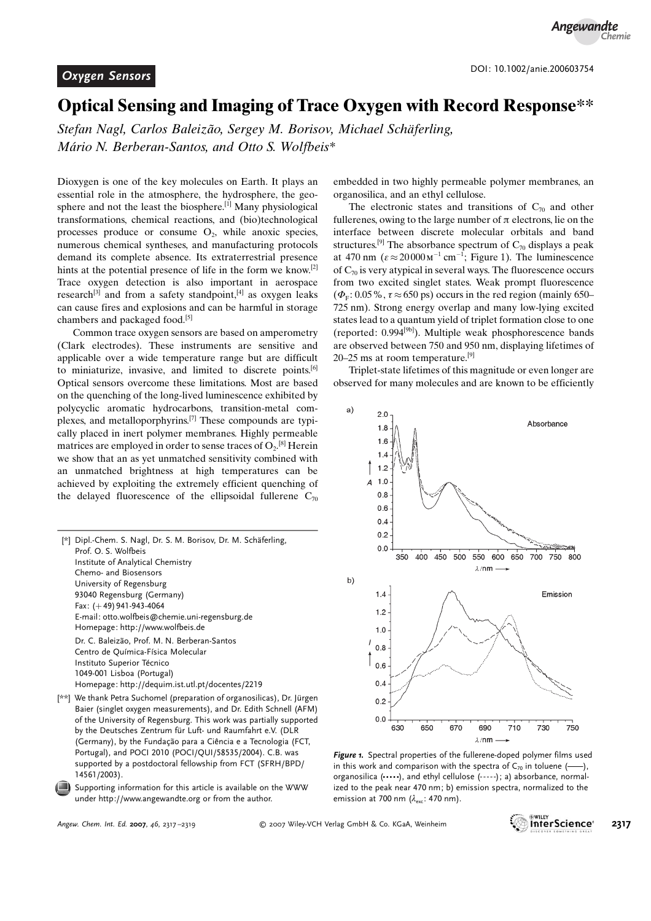## Optical Sensing and Imaging of Trace Oxygen with Record Response\*\*

Stefan Nagl, Carlos Baleizão, Sergey M. Borisov, Michael Schäferling, Mário N. Berberan-Santos, and Otto S. Wolfbeis\*

Dioxygen is one of the key molecules on Earth. It plays an essential role in the atmosphere, the hydrosphere, the geosphere and not the least the biosphere.[1] Many physiological transformations, chemical reactions, and (bio)technological processes produce or consume  $O_2$ , while anoxic species, numerous chemical syntheses, and manufacturing protocols demand its complete absence. Its extraterrestrial presence hints at the potential presence of life in the form we know.<sup>[2]</sup> Trace oxygen detection is also important in aerospace research<sup>[3]</sup> and from a safety standpoint, $[4]$  as oxygen leaks can cause fires and explosions and can be harmful in storage chambers and packaged food.<sup>[5]</sup>

Common trace oxygen sensors are based on amperometry (Clark electrodes). These instruments are sensitive and applicable over a wide temperature range but are difficult to miniaturize, invasive, and limited to discrete points.<sup>[6]</sup> Optical sensors overcome these limitations. Most are based on the quenching of the long-lived luminescence exhibited by polycyclic aromatic hydrocarbons, transition-metal complexes, and metalloporphyrins.[7] These compounds are typically placed in inert polymer membranes. Highly permeable matrices are employed in order to sense traces of  $O_2$ .<sup>[8]</sup> Herein we show that an as yet unmatched sensitivity combined with an unmatched brightness at high temperatures can be achieved by exploiting the extremely efficient quenching of the delayed fluorescence of the ellipsoidal fullerene  $C_{70}$ 

[\*] Dipl.-Chem. S. Nagl, Dr. S. M. Borisov, Dr. M. Schäferling, Prof. O. S. Wolfbeis Institute of Analytical Chemistry Chemo- and Biosensors University of Regensburg 93040 Regensburg (Germany) Fax:  $(+49)$  941-943-4064 E-mail: otto.wolfbeis@chemie.uni-regensburg.de Homepage: http://www.wolfbeis.de Dr. C. Baleizão, Prof. M. N. Berberan-Santos Centro de Química-Física Molecular Instituto Superior Técnico 1049-001 Lisboa (Portugal) Homepage: http://dequim.ist.utl.pt/docentes/2219

[\*\*] We thank Petra Suchomel (preparation of organosilicas), Dr. Jürgen Baier (singlet oxygen measurements), and Dr. Edith Schnell (AFM) of the University of Regensburg. This work was partially supported by the Deutsches Zentrum für Luft- und Raumfahrt e.V. (DLR (Germany), by the Fundação para a Ciência e a Tecnologia (FCT, Portugal), and POCI 2010 (POCI/QUI/58535/2004). C.B. was supported by a postdoctoral fellowship from FCT (SFRH/BPD/ 14561/2003).

Supporting information for this article is available on the WWW under http://www.angewandte.org or from the author.

embedded in two highly permeable polymer membranes, an organosilica, and an ethyl cellulose.

The electronic states and transitions of  $C_{70}$  and other fullerenes, owing to the large number of  $\pi$  electrons, lie on the interface between discrete molecular orbitals and band structures.<sup>[9]</sup> The absorbance spectrum of  $C_{70}$  displays a peak at 470 nm ( $\varepsilon \approx 20000 \,\mathrm{m}^{-1} \,\mathrm{cm}^{-1}$ ; Figure 1). The luminescence of  $C_{70}$  is very atypical in several ways. The fluorescence occurs from two excited singlet states. Weak prompt fluorescence  $(\Phi_F: 0.05\%, \tau \approx 650 \text{ ps})$  occurs in the red region (mainly 650– 725 nm). Strong energy overlap and many low-lying excited states lead to a quantum yield of triplet formation close to one (reported: 0.994[9b]). Multiple weak phosphorescence bands are observed between 750 and 950 nm, displaying lifetimes of 20–25 ms at room temperature.[9]

Triplet-state lifetimes of this magnitude or even longer are observed for many molecules and are known to be efficiently



Figure 1. Spectral properties of the fullerene-doped polymer films used in this work and comparison with the spectra of  $C_{70}$  in toluene (--), organosilica (....), and ethyl cellulose (-----); a) absorbance, normalized to the peak near 470 nm; b) emission spectra, normalized to the emission at 700 nm  $(\lambda_{\text{max}}; 470 \text{ nm})$ .

Angew. Chem. Int. Ed. 2007, 46, 2317-2319 **2007** Wiley-VCH Verlag GmbH & Co. KGaA, Weinheim **2317**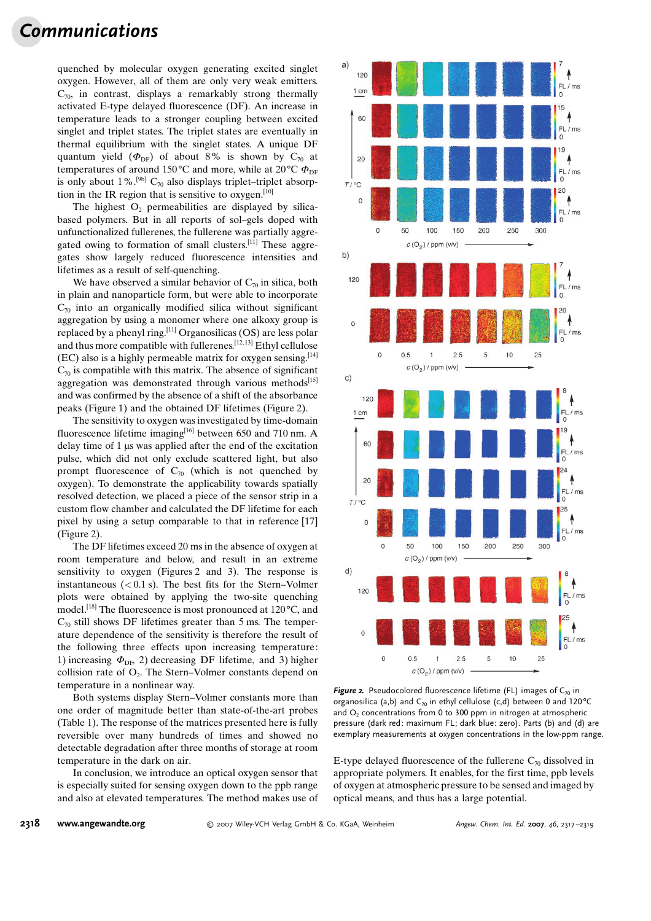## Communications

quenched by molecular oxygen generating excited singlet oxygen. However, all of them are only very weak emitters.  $C_{70}$ , in contrast, displays a remarkably strong thermally activated E-type delayed fluorescence (DF). An increase in temperature leads to a stronger coupling between excited singlet and triplet states. The triplet states are eventually in thermal equilibrium with the singlet states. A unique DF quantum yield ( $\Phi_{\text{DF}}$ ) of about 8% is shown by C<sub>70</sub> at temperatures of around 150 °C and more, while at 20 °C  $\Phi_{\text{DF}}$ is only about 1%.<sup>[9b]</sup> C<sub>70</sub> also displays triplet–triplet absorption in the IR region that is sensitive to oxygen.<sup>[10]</sup>

The highest  $O<sub>2</sub>$  permeabilities are displayed by silicabased polymers. But in all reports of sol–gels doped with unfunctionalized fullerenes, the fullerene was partially aggregated owing to formation of small clusters.<sup>[11]</sup> These aggregates show largely reduced fluorescence intensities and lifetimes as a result of self-quenching.

We have observed a similar behavior of  $C_{70}$  in silica, both in plain and nanoparticle form, but were able to incorporate  $C_{70}$  into an organically modified silica without significant aggregation by using a monomer where one alkoxy group is replaced by a phenyl ring.[11] Organosilicas (OS) are less polar and thus more compatible with fullerenes.[12, 13] Ethyl cellulose (EC) also is a highly permeable matrix for oxygen sensing.[14]  $C_{70}$  is compatible with this matrix. The absence of significant aggregation was demonstrated through various methods $[15]$ and was confirmed by the absence of a shift of the absorbance peaks (Figure 1) and the obtained DF lifetimes (Figure 2).

The sensitivity to oxygen was investigated by time-domain fluorescence lifetime imaging<sup>[16]</sup> between 650 and 710 nm. A delay time of  $1 \mu s$  was applied after the end of the excitation pulse, which did not only exclude scattered light, but also prompt fluorescence of  $C_{70}$  (which is not quenched by oxygen). To demonstrate the applicability towards spatially resolved detection, we placed a piece of the sensor strip in a custom flow chamber and calculated the DF lifetime for each pixel by using a setup comparable to that in reference [17] (Figure 2).

The DF lifetimes exceed 20 ms in the absence of oxygen at room temperature and below, and result in an extreme sensitivity to oxygen (Figures 2 and 3). The response is instantaneous  $( $0.1 \text{ s}$ ). The best fits for the Stern–Volmer$ plots were obtained by applying the two-site quenching model.<sup>[18]</sup> The fluorescence is most pronounced at 120 $\rm ^oC$ , and  $C_{70}$  still shows DF lifetimes greater than 5 ms. The temperature dependence of the sensitivity is therefore the result of the following three effects upon increasing temperature: 1) increasing  $\Phi_{\text{DE}}$  2) decreasing DF lifetime, and 3) higher collision rate of  $O_2$ . The Stern–Volmer constants depend on temperature in a nonlinear way.

Both systems display Stern–Volmer constants more than one order of magnitude better than state-of-the-art probes (Table 1). The response of the matrices presented here is fully reversible over many hundreds of times and showed no detectable degradation after three months of storage at room temperature in the dark on air.

In conclusion, we introduce an optical oxygen sensor that is especially suited for sensing oxygen down to the ppb range and also at elevated temperatures. The method makes use of



**Figure 2.** Pseudocolored fluorescence lifetime (FL) images of  $C_{70}$  in organosilica (a,b) and  $C_{70}$  in ethyl cellulose (c,d) between 0 and 120°C and  $O<sub>2</sub>$  concentrations from 0 to 300 ppm in nitrogen at atmospheric pressure (dark red: maximum FL; dark blue: zero). Parts (b) and (d) are exemplary measurements at oxygen concentrations in the low-ppm range.

E-type delayed fluorescence of the fullerene  $C_{70}$  dissolved in appropriate polymers. It enables, for the first time, ppb levels of oxygen at atmospheric pressure to be sensed and imaged by optical means, and thus has a large potential.